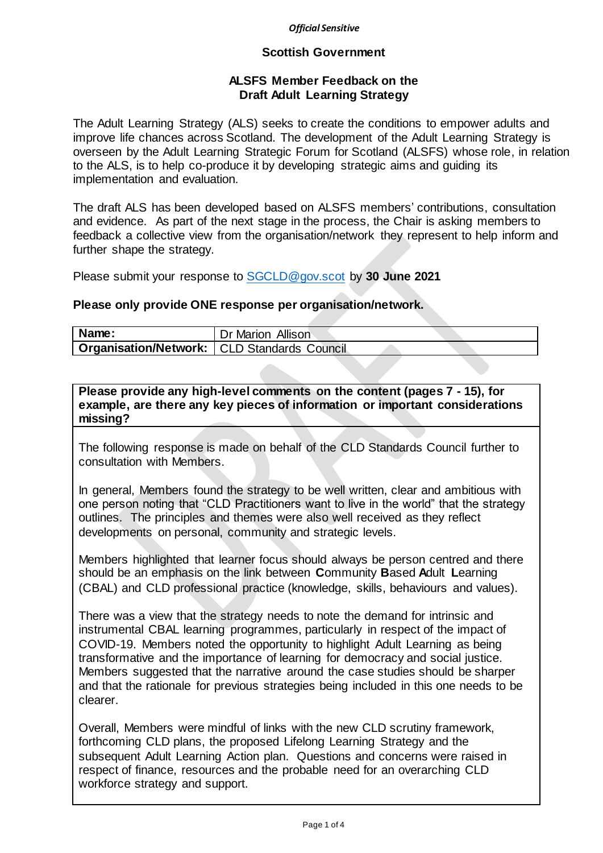#### *Official Sensitive*

#### **Scottish Government**

### **ALSFS Member Feedback on the Draft Adult Learning Strategy**

The Adult Learning Strategy (ALS) seeks to create the conditions to empower adults and improve life chances across Scotland. The development of the Adult Learning Strategy is overseen by the Adult Learning Strategic Forum for Scotland (ALSFS) whose role, in relation to the ALS, is to help co-produce it by developing strategic aims and guiding its implementation and evaluation.

The draft ALS has been developed based on ALSFS members' contributions, consultation and evidence. As part of the next stage in the process, the Chair is asking members to feedback a collective view from the organisation/network they represent to help inform and further shape the strategy.

Please submit your response to [SGCLD@gov.scot](mailto:SGCLD@gov.scot) by **30 June 2021**

#### **Please only provide ONE response per organisation/network.**

| Name:                                                | Dr Marion Allison |
|------------------------------------------------------|-------------------|
| <b>Organisation/Network:   CLD Standards Council</b> |                   |

**Please provide any high-level comments on the content (pages 7 - 15), for example, are there any key pieces of information or important considerations missing?**

The following response is made on behalf of the CLD Standards Council further to consultation with Members.

In general, Members found the strategy to be well written, clear and ambitious with one person noting that "CLD Practitioners want to live in the world" that the strategy outlines. The principles and themes were also well received as they reflect developments on personal, community and strategic levels.

Members highlighted that learner focus should always be person centred and there should be an emphasis on the link between **C**ommunity **B**ased **A**dult **L**earning (CBAL) and CLD professional practice (knowledge, skills, behaviours and values).

There was a view that the strategy needs to note the demand for intrinsic and instrumental CBAL learning programmes, particularly in respect of the impact of COVID-19. Members noted the opportunity to highlight Adult Learning as being transformative and the importance of learning for democracy and social justice. Members suggested that the narrative around the case studies should be sharper and that the rationale for previous strategies being included in this one needs to be clearer.

Overall, Members were mindful of links with the new CLD scrutiny framework, forthcoming CLD plans, the proposed Lifelong Learning Strategy and the subsequent Adult Learning Action plan. Questions and concerns were raised in respect of finance, resources and the probable need for an overarching CLD workforce strategy and support.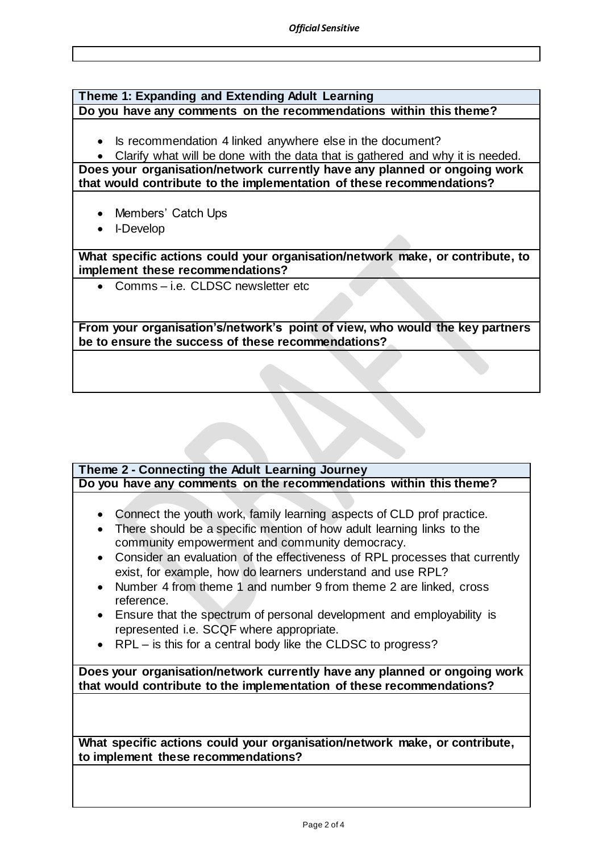#### **Theme 1: Expanding and Extending Adult Learning Do you have any comments on the recommendations within this theme?**

• Is recommendation 4 linked anywhere else in the document?

 Clarify what will be done with the data that is gathered and why it is needed. **Does your organisation/network currently have any planned or ongoing work** 

**that would contribute to the implementation of these recommendations?**

- Members' Catch Ups
- I-Develop

**What specific actions could your organisation/network make, or contribute, to implement these recommendations?**

• Comms – i.e. CLDSC newsletter etc

**From your organisation's/network's point of view, who would the key partners be to ensure the success of these recommendations?**

### **Theme 2 - Connecting the Adult Learning Journey Do you have any comments on the recommendations within this theme?**

- Connect the youth work, family learning aspects of CLD prof practice.
- There should be a specific mention of how adult learning links to the community empowerment and community democracy.
- Consider an evaluation of the effectiveness of RPL processes that currently exist, for example, how do learners understand and use RPL?
- Number 4 from theme 1 and number 9 from theme 2 are linked, cross reference.
- Ensure that the spectrum of personal development and employability is represented i.e. SCQF where appropriate.
- RPL is this for a central body like the CLDSC to progress?

**Does your organisation/network currently have any planned or ongoing work that would contribute to the implementation of these recommendations?**

**What specific actions could your organisation/network make, or contribute, to implement these recommendations?**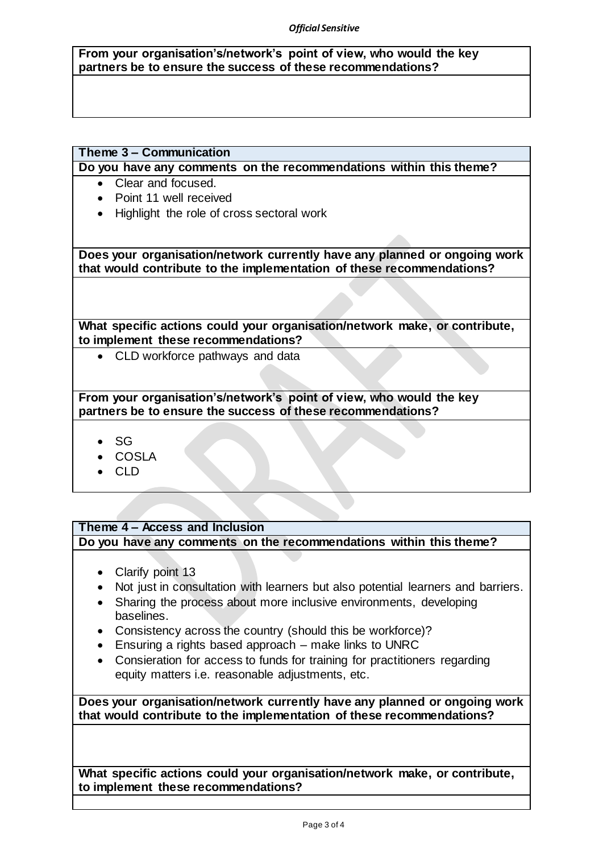#### *Official Sensitive*

**From your organisation's/network's point of view, who would the key partners be to ensure the success of these recommendations?**

## **Theme 3 – Communication**

**Do you have any comments on the recommendations within this theme?**

- Clear and focused.
- Point 11 well received
- Highlight the role of cross sectoral work

**Does your organisation/network currently have any planned or ongoing work that would contribute to the implementation of these recommendations?**

**What specific actions could your organisation/network make, or contribute, to implement these recommendations?**

• CLD workforce pathways and data

**From your organisation's/network's point of view, who would the key partners be to ensure the success of these recommendations?**

- $\bullet$  SG
- COSLA
- CLD

# **Theme 4 – Access and Inclusion**

**Do you have any comments on the recommendations within this theme?**

- Clarify point 13
- Not just in consultation with learners but also potential learners and barriers.
- Sharing the process about more inclusive environments, developing baselines.
- Consistency across the country (should this be workforce)?
- Ensuring a rights based approach make links to UNRC
- Consieration for access to funds for training for practitioners regarding equity matters i.e. reasonable adjustments, etc.

**Does your organisation/network currently have any planned or ongoing work that would contribute to the implementation of these recommendations?**

**What specific actions could your organisation/network make, or contribute, to implement these recommendations?**